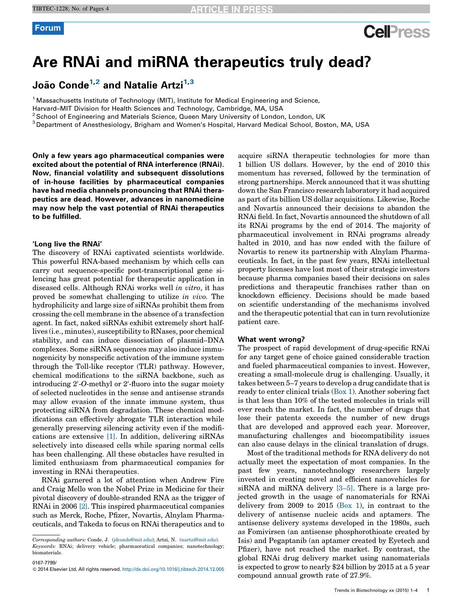# **Cell**<sup>ress</sup>

## Are RNAi and miRNA therapeutics truly dead?

### João Conde<sup>1,2</sup> and Natalie Artzi<sup>1,3</sup>

<sup>1</sup> Massachusetts Institute of Technology (MIT), Institute for Medical Engineering and Science,

Harvard–MIT Division for Health Sciences and Technology, Cambridge, MA, USA<br><sup>2</sup> School of Engineering and Materials Science, Queen Mary University of London, London, UK<br><sup>3</sup> Department of Anesthesiology, Brigham and Women's

Only a few years ago pharmaceutical companies were excited about the potential of RNA interference (RNAi). Now, financial volatility and subsequent dissolutions of in-house facilities by pharmaceutical companies have had media channels pronouncing that RNAi therapeutics are dead. However, advances in nanomedicine may now help the vast potential of RNAi therapeutics to be fulfilled.

#### 'Long live the RNAi'

The discovery of RNAi captivated scientists worldwide. This powerful RNA-based mechanism by which cells can carry out sequence-specific post-transcriptional gene silencing has great potential for therapeutic application in diseased cells. Although RNAi works well in vitro, it has proved be somewhat challenging to utilize in vivo. The hydrophilicity and large size of siRNAs prohibit them from crossing the cell membrane in the absence of a transfection agent. In fact, naked siRNAs exhibit extremely short halflives (i.e., minutes), susceptibility to RNases, poor chemical stability, and can induce dissociation of plasmid–DNA complexes. Some siRNA sequences may also induce immunogenicity by nonspecific activation of the immune system through the Toll-like receptor (TLR) pathway. However, chemical modifications to the siRNA backbone, such as introducing 2'-O-methyl or 2'-fluoro into the sugar moiety of selected nucleotides in the sense and antisense strands may allow evasion of the innate immune system, thus protecting siRNA from degradation. These chemical modifications can effectively abrogate TLR interaction while generally preserving silencing activity even if the modifications are extensive [\[1\]](#page-2-0). In addition, delivering siRNAs selectively into diseased cells while sparing normal cells has been challenging. All these obstacles have resulted in limited enthusiasm from pharmaceutical companies for investing in RNAi therapeutics.

RNAi garnered a lot of attention when Andrew Fire and Craig Mello won the Nobel Prize in Medicine for their pivotal discovery of double-stranded RNA as the trigger of RNAi in 2006 [\[2\].](#page-2-0) This inspired pharmaceutical companies such as Merck, Roche, Pfizer, Novartis, Alnylam Pharmaceuticals, and Takeda to focus on RNAi therapeutics and to

```
0167-7799/
```
acquire siRNA therapeutic technologies for more than 1 billion US dollars. However, by the end of 2010 this momentum has reversed, followed by the termination of strong partnerships. Merck announced that it was shutting down the San Francisco research laboratory it had acquired as part of its billion US dollar acquisitions. Likewise, Roche and Novartis announced their decisions to abandon the RNAi field. In fact, Novartis announced the shutdown of all its RNAi programs by the end of 2014. The majority of pharmaceutical involvement in RNAi programs already halted in 2010, and has now ended with the failure of Novartis to renew its partnership with Alnylam Pharmaceuticals. In fact, in the past few years, RNAi intellectual property licenses have lost most of their strategic investors because pharma companies based their decisions on sales predictions and therapeutic franchises rather than on knockdown efficiency. Decisions should be made based on scientific understanding of the mechanisms involved and the therapeutic potential that can in turn revolutionize patient care.

#### What went wrong?

The prospect of rapid development of drug-specific RNAi for any target gene of choice gained considerable traction and fueled pharmaceutical companies to invest. However, creating a small-molecule drug is challenging. Usually, it takes between 5–7 years to develop a drug candidate thatis ready to enter clinical trials ([Box](#page-1-0) 1). Another sobering fact is that less than 10% of the tested molecules in trials will ever reach the market. In fact, the number of drugs that lose their patents exceeds the number of new drugs that are developed and approved each year. Moreover, manufacturing challenges and biocompatibility issues can also cause delays in the clinical translation of drugs.

Most of the traditional methods for RNA delivery do not actually meet the expectation of most companies. In the past few years, nanotechnology researchers largely invested in creating novel and efficient nanovehicles for siRNA and miRNA delivery [\[3–5\]](#page-2-0). There is a large projected growth in the usage of nanomaterials for RNAi delivery from 2009 to 2015 [\(Box](#page-1-0) 1), in contrast to the delivery of antisense nucleic acids and aptamers. The antisense delivery systems developed in the 1980s, such as Fomivirsen (an antisense phosphorothioate created by Isis) and Pegaptanib (an aptamer created by Eyetech and Pfizer), have not reached the market. By contrast, the global RNAi drug delivery market using nanomaterials is expected to grow to nearly \$24 billion by 2015 at a 5 year compound annual growth rate of 27.9%.

Corresponding authors: Conde, J. ([jdconde@mit.edu\)](mailto:jdconde@mit.edu); Artzi, N. [\(nartzi@mit.edu\)](mailto:nartzi@mit.edu). Keywords: RNAi; delivery vehicle; pharmaceutical companies; nanotechnology; biomaterials.

<sup>-</sup> 2014 Elsevier Ltd. All rights reserved. <http://dx.doi.org/10.1016/j.tibtech.2014.12.005>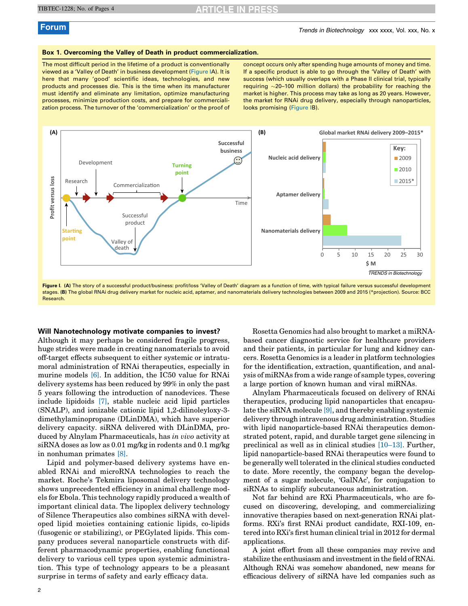#### <span id="page-1-0"></span>TIBTEC-1228; No. of Pages 4

#### **RTICLE IN PRES**

#### Box 1. Overcoming the Valley of Death in product commercialization.

The most difficult period in the lifetime of a product is conventionally viewed as a 'Valley of Death' in business development (Figure IA). It is here that many 'good' scientific ideas, technologies, and new products and processes die. This is the time when its manufacturer must identify and eliminate any limitation, optimize manufacturing processes, minimize production costs, and prepare for commercialization process. The turnover of the 'commercialization' or the proof of

concept occurs only after spending huge amounts of money and time. If a specific product is able to go through the 'Valley of Death' with success (which usually overlaps with a Phase II clinical trial, typically requiring  $\sim$ 20-100 million dollars) the probability for reaching the market is higher. This process may take as long as 20 years. However, the market for RNAi drug delivery, especially through nanoparticles, looks promising (Figure IB).



Figure I. (A) The story of a successful product/business: profit/loss 'Valley of Death' diagram as a function of time, with typical failure versus successful development stages. (B) The global RNAi drug delivery market for nucleic acid, aptamer, and nanomaterials delivery technologies between 2009 and 2015 (\*projection). Source: BCC Research.

#### Will Nanotechnology motivate companies to invest?

Although it may perhaps be considered fragile progress, huge strides were made in creating nanomaterials to avoid off-target effects subsequent to either systemic or intratumoral administration of RNAi therapeutics, especially in murine models [\[6\]](#page-3-0). In addition, the IC50 value for RNAi delivery systems has been reduced by 99% in only the past 5 years following the introduction of nanodevices. These include lipidoids [\[7\]](#page-3-0), stable nucleic acid lipid particles (SNALP), and ionizable cationic lipid 1,2-dilinoleyloxy-3 dimethylaminopropane (DLinDMA), which have superior delivery capacity. siRNA delivered with DLinDMA, produced by Alnylam Pharmaceuticals, has in vivo activity at siRNA doses as low as 0.01 mg/kg in rodents and 0.1 mg/kg in nonhuman primates [\[8\].](#page-3-0)

Lipid and polymer-based delivery systems have enabled RNAi and microRNA technologies to reach the market. Roche's Tekmira liposomal delivery technology shows unprecedented efficiency in animal challenge models for Ebola. This technology rapidly produced a wealth of important clinical data. The lipoplex delivery technology of Silence Therapeutics also combines siRNA with developed lipid moieties containing cationic lipids, co-lipids (fusogenic or stabilizing), or PEGylated lipids. This company produces several nanoparticle constructs with different pharmacodynamic properties, enabling functional delivery to various cell types upon systemic administration. This type of technology appears to be a pleasant surprise in terms of safety and early efficacy data.

Rosetta Genomics had also brought to market a miRNAbased cancer diagnostic service for healthcare providers and their patients, in particular for lung and kidney cancers. Rosetta Genomics is a leader in platform technologies for the identification, extraction, quantification, and analysis of miRNAs from a wide range of sample types, covering a large portion of known human and viral miRNAs.

Alnylam Pharmaceuticals focused on delivery of RNAi therapeutics, producing lipid nanoparticles that encapsulate the siRNA molecule [\[9\],](#page-3-0) and thereby enabling systemic delivery through intravenous drug administration. Studies with lipid nanoparticle-based RNA therapeutics demonstrated potent, rapid, and durable target gene silencing in preclinical as well as in clinical studies [\[10–13\].](#page-3-0) Further, lipid nanoparticle-based RNAi therapeutics were found to be generally well tolerated in the clinical studies conducted to date. More recently, the company began the development of a sugar molecule, 'GalNAc', for conjugation to siRNAs to simplify subcutaneous administration.

Not far behind are RXi Pharmaceuticals, who are focused on discovering, developing, and commercializing innovative therapies based on next-generation RNAi platforms. RXi's first RNAi product candidate, RXI-109, entered into RXi's first human clinical trial in 2012 for dermal applications.

A joint effort from all these companies may revive and stabilize the enthusiasm and investmentin the field of RNAi. Although RNAi was somehow abandoned, new means for efficacious delivery of siRNA have led companies such as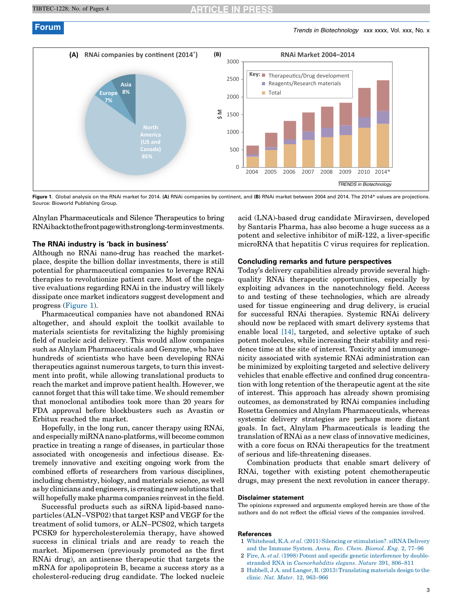#### **TICLE IN PRESS**

### <span id="page-2-0"></span>**Forum** Trends in Biotechnology xxx xxxx, Vol. xxx, No. x



Figure 1. Global analysis on the RNAi market for 2014. (A) RNAi companies by continent, and (B) RNAi market between 2004 and 2014. The 2014\* values are projections. Source: Bioworld Publishing Group.

Alnylan Pharmaceuticals and Silence Therapeutics to bring RNAibacktothefrontpagewithstronglong-terminvestments.

#### The RNAi industry is 'back in business'

Although no RNAi nano-drug has reached the marketplace, despite the billion dollar investments, there is still potential for pharmaceutical companies to leverage RNAi therapies to revolutionize patient care. Most of the negative evaluations regarding RNAi in the industry will likely dissipate once market indicators suggest development and progress (Figure 1).

Pharmaceutical companies have not abandoned RNAi altogether, and should exploit the toolkit available to materials scientists for revitalizing the highly promising field of nucleic acid delivery. This would allow companies such as Alnylam Pharmaceuticals and Genzyme, who have hundreds of scientists who have been developing RNAi therapeutics against numerous targets, to turn this investment into profit, while allowing translational products to reach the market and improve patient health. However, we cannot forget that this will take time. We should remember that monoclonal antibodies took more than 20 years for FDA approval before blockbusters such as Avastin or Erbitux reached the market.

Hopefully, in the long run, cancer therapy using RNAi, and especially miRNA nano-platforms, will become common practice in treating a range of diseases, in particular those associated with oncogenesis and infectious disease. Extremely innovative and exciting ongoing work from the combined efforts of researchers from various disciplines, including chemistry, biology, and materials science, as well as by clinicians and engineers, is creating new solutions that will hopefully make pharma companies reinvestin the field.

Successful products such as siRNA lipid-based nanoparticles (ALN–VSP02) that target KSP and VEGF for the treatment of solid tumors, or ALN–PCS02, which targets PCSK9 for hypercholesterolemia therapy, have showed success in clinical trials and are ready to reach the market. Mipomersen (previously promoted as the first RNAi drug), an antisense therapeutic that targets the mRNA for apolipoprotein B, became a success story as a cholesterol-reducing drug candidate. The locked nucleic

acid (LNA)-based drug candidate Miravirsen, developed by Santaris Pharma, has also become a huge success as a potent and selective inhibitor of miR-122, a liver-specific microRNA that hepatitis C virus requires for replication.

#### Concluding remarks and future perspectives

Today's delivery capabilities already provide several highquality RNAi therapeutic opportunities, especially by exploiting advances in the nanotechnology field. Access to and testing of these technologies, which are already used for tissue engineering and drug delivery, is crucial for successful RNAi therapies. Systemic RNAi delivery should now be replaced with smart delivery systems that enable local [\[14\],](#page-3-0) targeted, and selective uptake of such potent molecules, while increasing their stability and residence time at the site of interest. Toxicity and immunogenicity associated with systemic RNAi administration can be minimized by exploiting targeted and selective delivery vehicles that enable effective and confined drug concentration with long retention of the therapeutic agent at the site of interest. This approach has already shown promising outcomes, as demonstrated by RNAi companies including Rosetta Genomics and Alnylam Pharmaceuticals, whereas systemic delivery strategies are perhaps more distant goals. In fact, Alnylam Pharmaceuticals is leading the translation of RNAi as a new class of innovative medicines, with a core focus on RNAi therapeutics for the treatment of serious and life-threatening diseases.

Combination products that enable smart delivery of RNAi, together with existing potent chemotherapeutic drugs, may present the next revolution in cancer therapy.

#### Disclaimer statement

The opinions expressed and arguments employed herein are those of the authors and do not reflect the official views of the companies involved.

#### References

- 1 Whitehead, K.A. et al. (2011) Silencing or [stimulation?.](http://refhub.elsevier.com/S0167-7799(14)00254-6/sbref0075) siRNA Delivery and the [Immune](http://refhub.elsevier.com/S0167-7799(14)00254-6/sbref0075) System. Annu. Rev. Chem. Biomol. Eng. 2, 77–96
- 2 Fire, A. et al. (1998) Potent and specific genetic [interference](http://refhub.elsevier.com/S0167-7799(14)00254-6/sbref0080) by doublestranded RNA in [Caenorhabditis](http://refhub.elsevier.com/S0167-7799(14)00254-6/sbref0080) elegans. Nature 391, 806–811
- 3 Hubbell, J.A. and Langer, R. (2013) [Translating](http://refhub.elsevier.com/S0167-7799(14)00254-6/sbref0085) materials design to the clinic. Nat. Mater. 12, [963–966](http://refhub.elsevier.com/S0167-7799(14)00254-6/sbref0085)